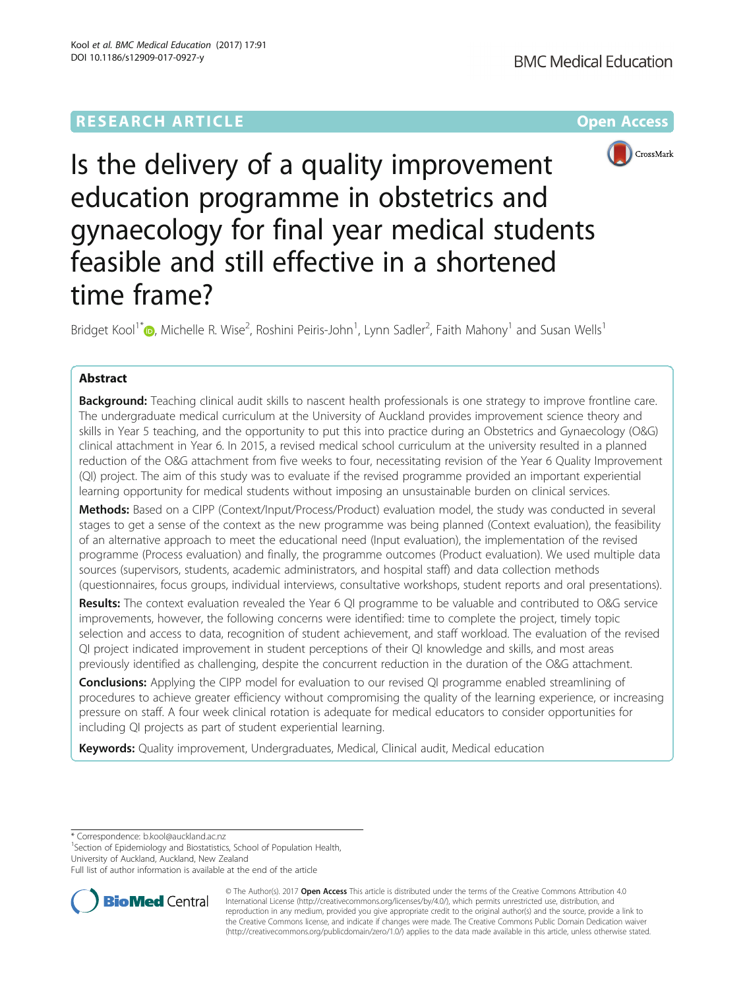# **RESEARCH ARTICLE Example 2014 12:30 The Community Community Community Community Community Community Community**



Is the delivery of a quality improvement education programme in obstetrics and gynaecology for final year medical students feasible and still effective in a shortened time frame?

Bridget Kool $1^*$  (D[,](http://orcid.org/0000-0002-2537-4688) Michelle R. Wise<sup>2</sup>, Roshini Peiris-John<sup>1</sup>, Lynn Sadler<sup>2</sup>, Faith Mahony<sup>1</sup> and Susan Wells<sup>1</sup>

# Abstract

Background: Teaching clinical audit skills to nascent health professionals is one strategy to improve frontline care. The undergraduate medical curriculum at the University of Auckland provides improvement science theory and skills in Year 5 teaching, and the opportunity to put this into practice during an Obstetrics and Gynaecology (O&G) clinical attachment in Year 6. In 2015, a revised medical school curriculum at the university resulted in a planned reduction of the O&G attachment from five weeks to four, necessitating revision of the Year 6 Quality Improvement (QI) project. The aim of this study was to evaluate if the revised programme provided an important experiential learning opportunity for medical students without imposing an unsustainable burden on clinical services.

Methods: Based on a CIPP (Context/Input/Process/Product) evaluation model, the study was conducted in several stages to get a sense of the context as the new programme was being planned (Context evaluation), the feasibility of an alternative approach to meet the educational need (Input evaluation), the implementation of the revised programme (Process evaluation) and finally, the programme outcomes (Product evaluation). We used multiple data sources (supervisors, students, academic administrators, and hospital staff) and data collection methods (questionnaires, focus groups, individual interviews, consultative workshops, student reports and oral presentations).

Results: The context evaluation revealed the Year 6 QI programme to be valuable and contributed to O&G service improvements, however, the following concerns were identified: time to complete the project, timely topic selection and access to data, recognition of student achievement, and staff workload. The evaluation of the revised QI project indicated improvement in student perceptions of their QI knowledge and skills, and most areas previously identified as challenging, despite the concurrent reduction in the duration of the O&G attachment.

Conclusions: Applying the CIPP model for evaluation to our revised QI programme enabled streamlining of procedures to achieve greater efficiency without compromising the quality of the learning experience, or increasing pressure on staff. A four week clinical rotation is adequate for medical educators to consider opportunities for including QI projects as part of student experiential learning.

Keywords: Quality improvement, Undergraduates, Medical, Clinical audit, Medical education

\* Correspondence: [b.kool@auckland.ac.nz](mailto:b.kool@auckland.ac.nz) <sup>1</sup>

<sup>1</sup>Section of Epidemiology and Biostatistics, School of Population Health, University of Auckland, Auckland, New Zealand

Full list of author information is available at the end of the article



© The Author(s). 2017 **Open Access** This article is distributed under the terms of the Creative Commons Attribution 4.0 International License [\(http://creativecommons.org/licenses/by/4.0/](http://creativecommons.org/licenses/by/4.0/)), which permits unrestricted use, distribution, and reproduction in any medium, provided you give appropriate credit to the original author(s) and the source, provide a link to the Creative Commons license, and indicate if changes were made. The Creative Commons Public Domain Dedication waiver [\(http://creativecommons.org/publicdomain/zero/1.0/](http://creativecommons.org/publicdomain/zero/1.0/)) applies to the data made available in this article, unless otherwise stated.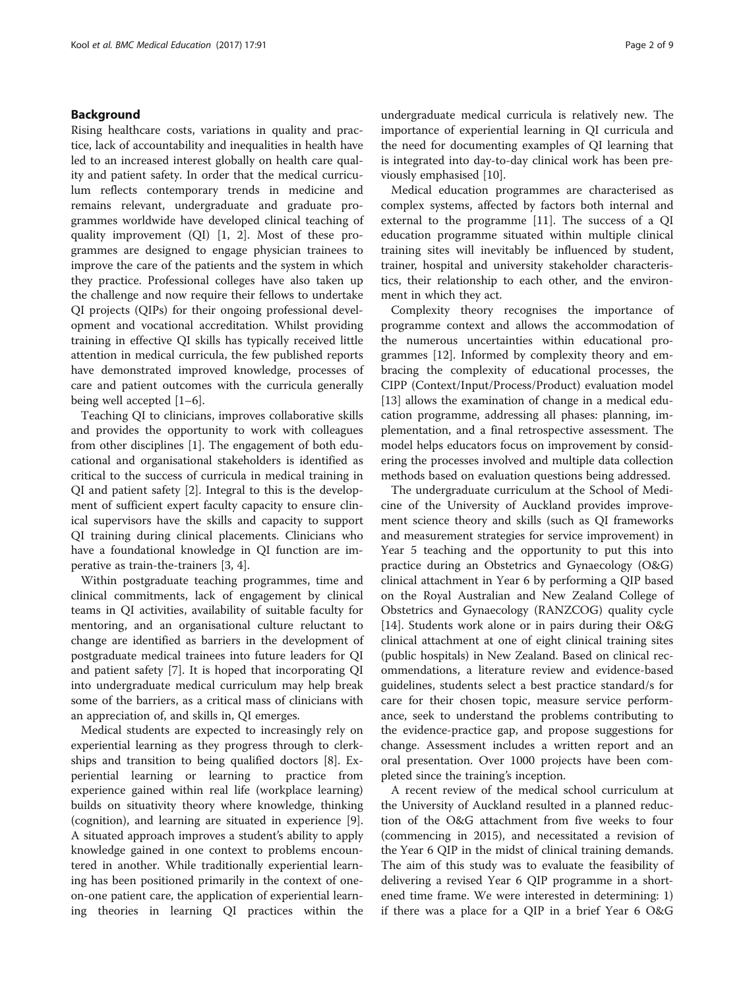### Background

Rising healthcare costs, variations in quality and practice, lack of accountability and inequalities in health have led to an increased interest globally on health care quality and patient safety. In order that the medical curriculum reflects contemporary trends in medicine and remains relevant, undergraduate and graduate programmes worldwide have developed clinical teaching of quality improvement (QI) [[1, 2](#page-7-0)]. Most of these programmes are designed to engage physician trainees to improve the care of the patients and the system in which they practice. Professional colleges have also taken up the challenge and now require their fellows to undertake QI projects (QIPs) for their ongoing professional development and vocational accreditation. Whilst providing training in effective QI skills has typically received little attention in medical curricula, the few published reports have demonstrated improved knowledge, processes of care and patient outcomes with the curricula generally being well accepted [[1](#page-7-0)–[6\]](#page-7-0).

Teaching QI to clinicians, improves collaborative skills and provides the opportunity to work with colleagues from other disciplines [\[1](#page-7-0)]. The engagement of both educational and organisational stakeholders is identified as critical to the success of curricula in medical training in QI and patient safety [[2\]](#page-7-0). Integral to this is the development of sufficient expert faculty capacity to ensure clinical supervisors have the skills and capacity to support QI training during clinical placements. Clinicians who have a foundational knowledge in QI function are imperative as train-the-trainers [[3, 4\]](#page-7-0).

Within postgraduate teaching programmes, time and clinical commitments, lack of engagement by clinical teams in QI activities, availability of suitable faculty for mentoring, and an organisational culture reluctant to change are identified as barriers in the development of postgraduate medical trainees into future leaders for QI and patient safety [\[7](#page-7-0)]. It is hoped that incorporating QI into undergraduate medical curriculum may help break some of the barriers, as a critical mass of clinicians with an appreciation of, and skills in, QI emerges.

Medical students are expected to increasingly rely on experiential learning as they progress through to clerkships and transition to being qualified doctors [[8\]](#page-7-0). Experiential learning or learning to practice from experience gained within real life (workplace learning) builds on situativity theory where knowledge, thinking (cognition), and learning are situated in experience [\[9](#page-7-0)]. A situated approach improves a student's ability to apply knowledge gained in one context to problems encountered in another. While traditionally experiential learning has been positioned primarily in the context of oneon-one patient care, the application of experiential learning theories in learning QI practices within the

undergraduate medical curricula is relatively new. The importance of experiential learning in QI curricula and the need for documenting examples of QI learning that is integrated into day-to-day clinical work has been previously emphasised [\[10](#page-7-0)].

Medical education programmes are characterised as complex systems, affected by factors both internal and external to the programme [\[11](#page-7-0)]. The success of a QI education programme situated within multiple clinical training sites will inevitably be influenced by student, trainer, hospital and university stakeholder characteristics, their relationship to each other, and the environment in which they act.

Complexity theory recognises the importance of programme context and allows the accommodation of the numerous uncertainties within educational programmes [\[12](#page-7-0)]. Informed by complexity theory and embracing the complexity of educational processes, the CIPP (Context/Input/Process/Product) evaluation model [[13\]](#page-7-0) allows the examination of change in a medical education programme, addressing all phases: planning, implementation, and a final retrospective assessment. The model helps educators focus on improvement by considering the processes involved and multiple data collection methods based on evaluation questions being addressed.

The undergraduate curriculum at the School of Medicine of the University of Auckland provides improvement science theory and skills (such as QI frameworks and measurement strategies for service improvement) in Year 5 teaching and the opportunity to put this into practice during an Obstetrics and Gynaecology (O&G) clinical attachment in Year 6 by performing a QIP based on the Royal Australian and New Zealand College of Obstetrics and Gynaecology (RANZCOG) quality cycle [[14\]](#page-8-0). Students work alone or in pairs during their O&G clinical attachment at one of eight clinical training sites (public hospitals) in New Zealand. Based on clinical recommendations, a literature review and evidence-based guidelines, students select a best practice standard/s for care for their chosen topic, measure service performance, seek to understand the problems contributing to the evidence-practice gap, and propose suggestions for change. Assessment includes a written report and an oral presentation. Over 1000 projects have been completed since the training's inception.

A recent review of the medical school curriculum at the University of Auckland resulted in a planned reduction of the O&G attachment from five weeks to four (commencing in 2015), and necessitated a revision of the Year 6 QIP in the midst of clinical training demands. The aim of this study was to evaluate the feasibility of delivering a revised Year 6 QIP programme in a shortened time frame. We were interested in determining: 1) if there was a place for a QIP in a brief Year 6 O&G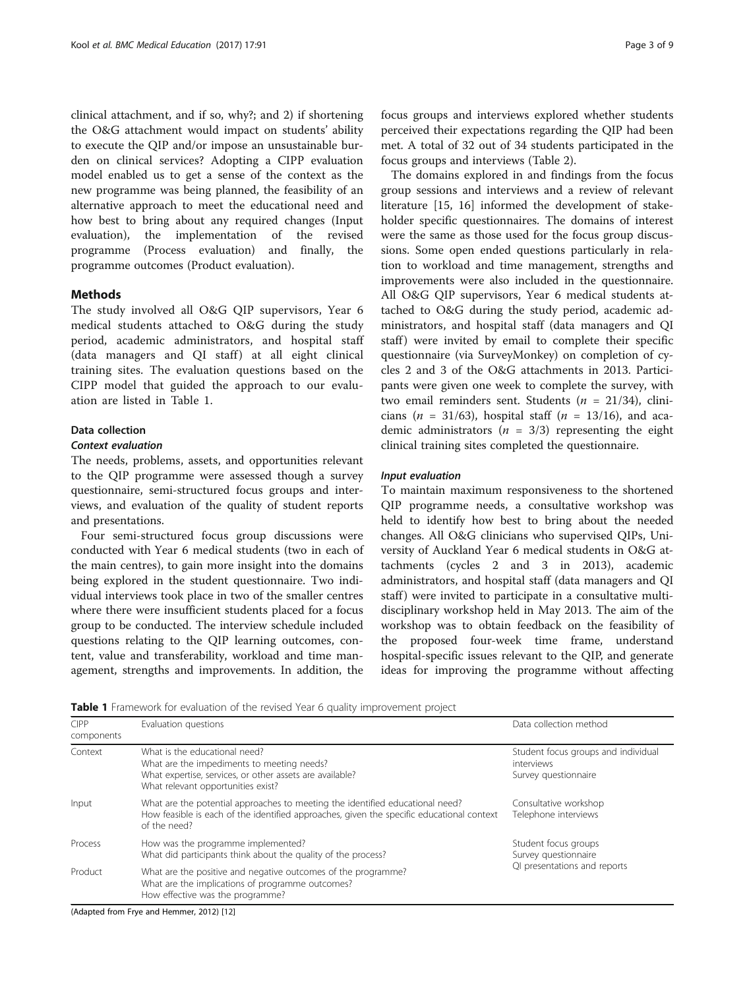clinical attachment, and if so, why?; and 2) if shortening the O&G attachment would impact on students' ability to execute the QIP and/or impose an unsustainable burden on clinical services? Adopting a CIPP evaluation model enabled us to get a sense of the context as the new programme was being planned, the feasibility of an alternative approach to meet the educational need and how best to bring about any required changes (Input evaluation), the implementation of the revised programme (Process evaluation) and finally, the programme outcomes (Product evaluation).

### Methods

The study involved all O&G QIP supervisors, Year 6 medical students attached to O&G during the study period, academic administrators, and hospital staff (data managers and QI staff) at all eight clinical training sites. The evaluation questions based on the CIPP model that guided the approach to our evaluation are listed in Table 1.

### Data collection

#### Context evaluation

The needs, problems, assets, and opportunities relevant to the QIP programme were assessed though a survey questionnaire, semi-structured focus groups and interviews, and evaluation of the quality of student reports and presentations.

Four semi-structured focus group discussions were conducted with Year 6 medical students (two in each of the main centres), to gain more insight into the domains being explored in the student questionnaire. Two individual interviews took place in two of the smaller centres where there were insufficient students placed for a focus group to be conducted. The interview schedule included questions relating to the QIP learning outcomes, content, value and transferability, workload and time management, strengths and improvements. In addition, the

focus groups and interviews explored whether students perceived their expectations regarding the QIP had been met. A total of 32 out of 34 students participated in the focus groups and interviews (Table [2\)](#page-3-0).

The domains explored in and findings from the focus group sessions and interviews and a review of relevant literature [[15, 16](#page-8-0)] informed the development of stakeholder specific questionnaires. The domains of interest were the same as those used for the focus group discussions. Some open ended questions particularly in relation to workload and time management, strengths and improvements were also included in the questionnaire. All O&G QIP supervisors, Year 6 medical students attached to O&G during the study period, academic administrators, and hospital staff (data managers and QI staff) were invited by email to complete their specific questionnaire (via SurveyMonkey) on completion of cycles 2 and 3 of the O&G attachments in 2013. Participants were given one week to complete the survey, with two email reminders sent. Students ( $n = 21/34$ ), clinicians ( $n = 31/63$ ), hospital staff ( $n = 13/16$ ), and academic administrators ( $n = 3/3$ ) representing the eight clinical training sites completed the questionnaire.

#### Input evaluation

To maintain maximum responsiveness to the shortened QIP programme needs, a consultative workshop was held to identify how best to bring about the needed changes. All O&G clinicians who supervised QIPs, University of Auckland Year 6 medical students in O&G attachments (cycles 2 and 3 in 2013), academic administrators, and hospital staff (data managers and QI staff) were invited to participate in a consultative multidisciplinary workshop held in May 2013. The aim of the workshop was to obtain feedback on the feasibility of the proposed four-week time frame, understand hospital-specific issues relevant to the QIP, and generate ideas for improving the programme without affecting

Table 1 Framework for evaluation of the revised Year 6 quality improvement project

| <b>CIPP</b><br>components | Evaluation questions                                                                                                                                                                       | Data collection method                                                       |  |
|---------------------------|--------------------------------------------------------------------------------------------------------------------------------------------------------------------------------------------|------------------------------------------------------------------------------|--|
| Context                   | What is the educational need?<br>What are the impediments to meeting needs?<br>What expertise, services, or other assets are available?<br>What relevant opportunities exist?              | Student focus groups and individual<br>interviews<br>Survey questionnaire    |  |
| Input                     | What are the potential approaches to meeting the identified educational need?<br>How feasible is each of the identified approaches, given the specific educational context<br>of the need? | Consultative workshop<br>Telephone interviews                                |  |
| Process                   | How was the programme implemented?<br>What did participants think about the quality of the process?                                                                                        | Student focus groups<br>Survey questionnaire<br>QI presentations and reports |  |
| Product                   | What are the positive and negative outcomes of the programme?<br>What are the implications of programme outcomes?<br>How effective was the programme?                                      |                                                                              |  |

(Adapted from Frye and Hemmer, 2012) [\[12](#page-7-0)]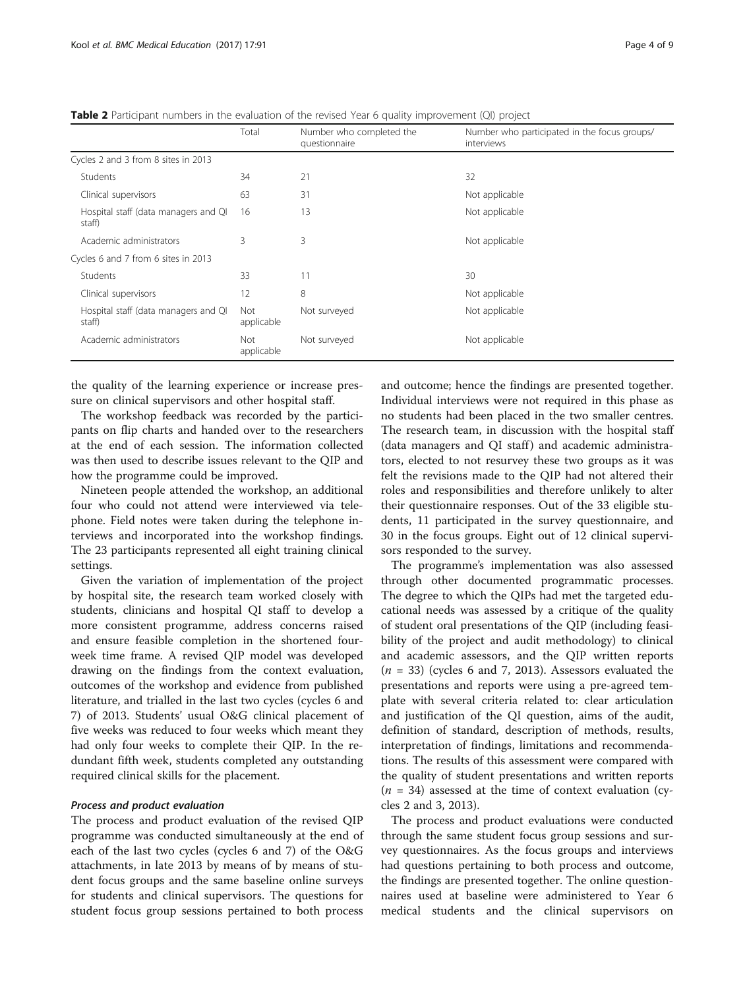<span id="page-3-0"></span>Table 2 Participant numbers in the evaluation of the revised Year 6 quality improvement (QI) project

|                                                | Total                    | Number who completed the<br>questionnaire | Number who participated in the focus groups/<br>interviews |
|------------------------------------------------|--------------------------|-------------------------------------------|------------------------------------------------------------|
| Cycles 2 and 3 from 8 sites in 2013            |                          |                                           |                                                            |
| Students                                       | 34                       | 21                                        | 32                                                         |
| Clinical supervisors                           | 63                       | 31                                        | Not applicable                                             |
| Hospital staff (data managers and QI<br>staff) | 16                       | 13                                        | Not applicable                                             |
| Academic administrators                        | 3                        | 3                                         | Not applicable                                             |
| Cycles 6 and 7 from 6 sites in 2013            |                          |                                           |                                                            |
| Students                                       | 33                       | 11                                        | 30                                                         |
| Clinical supervisors                           | 12                       | 8                                         | Not applicable                                             |
| Hospital staff (data managers and QI<br>staff) | <b>Not</b><br>applicable | Not surveyed                              | Not applicable                                             |
| Academic administrators                        | <b>Not</b><br>applicable | Not surveyed                              | Not applicable                                             |

the quality of the learning experience or increase pressure on clinical supervisors and other hospital staff.

The workshop feedback was recorded by the participants on flip charts and handed over to the researchers at the end of each session. The information collected was then used to describe issues relevant to the QIP and how the programme could be improved.

Nineteen people attended the workshop, an additional four who could not attend were interviewed via telephone. Field notes were taken during the telephone interviews and incorporated into the workshop findings. The 23 participants represented all eight training clinical settings.

Given the variation of implementation of the project by hospital site, the research team worked closely with students, clinicians and hospital QI staff to develop a more consistent programme, address concerns raised and ensure feasible completion in the shortened fourweek time frame. A revised QIP model was developed drawing on the findings from the context evaluation, outcomes of the workshop and evidence from published literature, and trialled in the last two cycles (cycles 6 and 7) of 2013. Students' usual O&G clinical placement of five weeks was reduced to four weeks which meant they had only four weeks to complete their QIP. In the redundant fifth week, students completed any outstanding required clinical skills for the placement.

### Process and product evaluation

The process and product evaluation of the revised QIP programme was conducted simultaneously at the end of each of the last two cycles (cycles 6 and 7) of the O&G attachments, in late 2013 by means of by means of student focus groups and the same baseline online surveys for students and clinical supervisors. The questions for student focus group sessions pertained to both process

and outcome; hence the findings are presented together. Individual interviews were not required in this phase as no students had been placed in the two smaller centres. The research team, in discussion with the hospital staff (data managers and QI staff) and academic administrators, elected to not resurvey these two groups as it was felt the revisions made to the QIP had not altered their roles and responsibilities and therefore unlikely to alter their questionnaire responses. Out of the 33 eligible students, 11 participated in the survey questionnaire, and 30 in the focus groups. Eight out of 12 clinical supervisors responded to the survey.

The programme's implementation was also assessed through other documented programmatic processes. The degree to which the QIPs had met the targeted educational needs was assessed by a critique of the quality of student oral presentations of the QIP (including feasibility of the project and audit methodology) to clinical and academic assessors, and the QIP written reports  $(n = 33)$  (cycles 6 and 7, 2013). Assessors evaluated the presentations and reports were using a pre-agreed template with several criteria related to: clear articulation and justification of the QI question, aims of the audit, definition of standard, description of methods, results, interpretation of findings, limitations and recommendations. The results of this assessment were compared with the quality of student presentations and written reports  $(n = 34)$  assessed at the time of context evaluation (cycles 2 and 3, 2013).

The process and product evaluations were conducted through the same student focus group sessions and survey questionnaires. As the focus groups and interviews had questions pertaining to both process and outcome, the findings are presented together. The online questionnaires used at baseline were administered to Year 6 medical students and the clinical supervisors on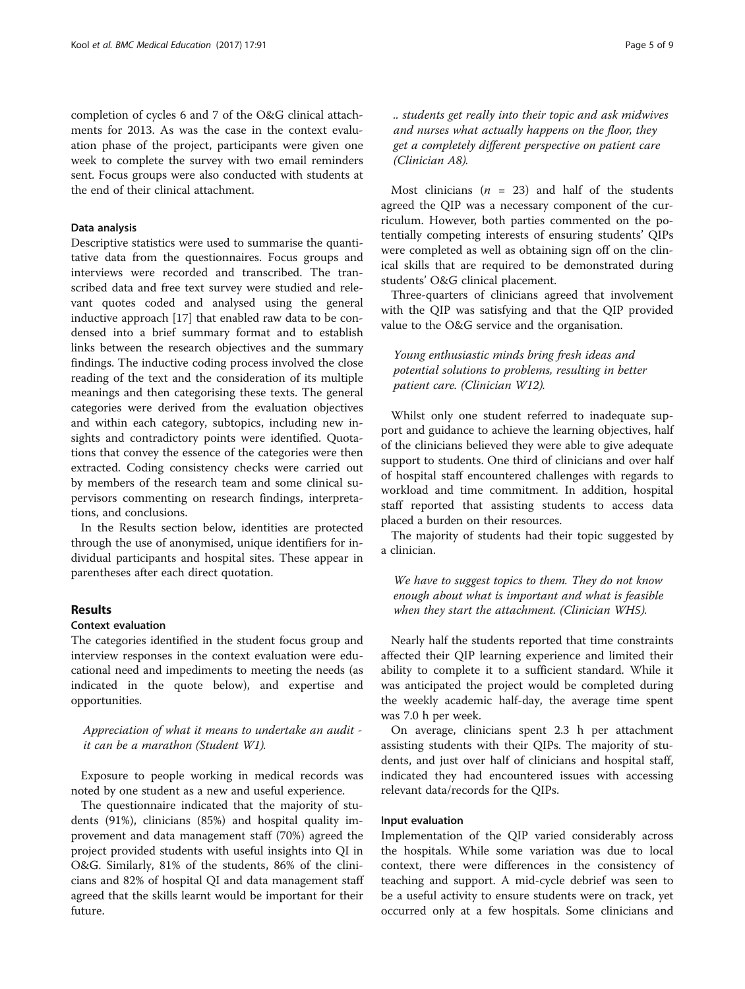completion of cycles 6 and 7 of the O&G clinical attachments for 2013. As was the case in the context evaluation phase of the project, participants were given one week to complete the survey with two email reminders sent. Focus groups were also conducted with students at the end of their clinical attachment.

### Data analysis

Descriptive statistics were used to summarise the quantitative data from the questionnaires. Focus groups and interviews were recorded and transcribed. The transcribed data and free text survey were studied and relevant quotes coded and analysed using the general inductive approach [[17\]](#page-8-0) that enabled raw data to be condensed into a brief summary format and to establish links between the research objectives and the summary findings. The inductive coding process involved the close reading of the text and the consideration of its multiple meanings and then categorising these texts. The general categories were derived from the evaluation objectives and within each category, subtopics, including new insights and contradictory points were identified. Quotations that convey the essence of the categories were then extracted. Coding consistency checks were carried out by members of the research team and some clinical supervisors commenting on research findings, interpretations, and conclusions.

In the Results section below, identities are protected through the use of anonymised, unique identifiers for individual participants and hospital sites. These appear in parentheses after each direct quotation.

### Results

#### Context evaluation

The categories identified in the student focus group and interview responses in the context evaluation were educational need and impediments to meeting the needs (as indicated in the quote below), and expertise and opportunities.

Appreciation of what it means to undertake an audit it can be a marathon (Student W1).

Exposure to people working in medical records was noted by one student as a new and useful experience.

The questionnaire indicated that the majority of students (91%), clinicians (85%) and hospital quality improvement and data management staff (70%) agreed the project provided students with useful insights into QI in O&G. Similarly, 81% of the students, 86% of the clinicians and 82% of hospital QI and data management staff agreed that the skills learnt would be important for their future.

.. students get really into their topic and ask midwives and nurses what actually happens on the floor, they get a completely different perspective on patient care (Clinician A8).

Most clinicians ( $n = 23$ ) and half of the students agreed the QIP was a necessary component of the curriculum. However, both parties commented on the potentially competing interests of ensuring students' QIPs were completed as well as obtaining sign off on the clinical skills that are required to be demonstrated during students' O&G clinical placement.

Three-quarters of clinicians agreed that involvement with the QIP was satisfying and that the QIP provided value to the O&G service and the organisation.

### Young enthusiastic minds bring fresh ideas and potential solutions to problems, resulting in better patient care. (Clinician W12).

Whilst only one student referred to inadequate support and guidance to achieve the learning objectives, half of the clinicians believed they were able to give adequate support to students. One third of clinicians and over half of hospital staff encountered challenges with regards to workload and time commitment. In addition, hospital staff reported that assisting students to access data placed a burden on their resources.

The majority of students had their topic suggested by a clinician.

We have to suggest topics to them. They do not know enough about what is important and what is feasible when they start the attachment. (Clinician WH5).

Nearly half the students reported that time constraints affected their QIP learning experience and limited their ability to complete it to a sufficient standard. While it was anticipated the project would be completed during the weekly academic half-day, the average time spent was 7.0 h per week.

On average, clinicians spent 2.3 h per attachment assisting students with their QIPs. The majority of students, and just over half of clinicians and hospital staff, indicated they had encountered issues with accessing relevant data/records for the QIPs.

#### Input evaluation

Implementation of the QIP varied considerably across the hospitals. While some variation was due to local context, there were differences in the consistency of teaching and support. A mid-cycle debrief was seen to be a useful activity to ensure students were on track, yet occurred only at a few hospitals. Some clinicians and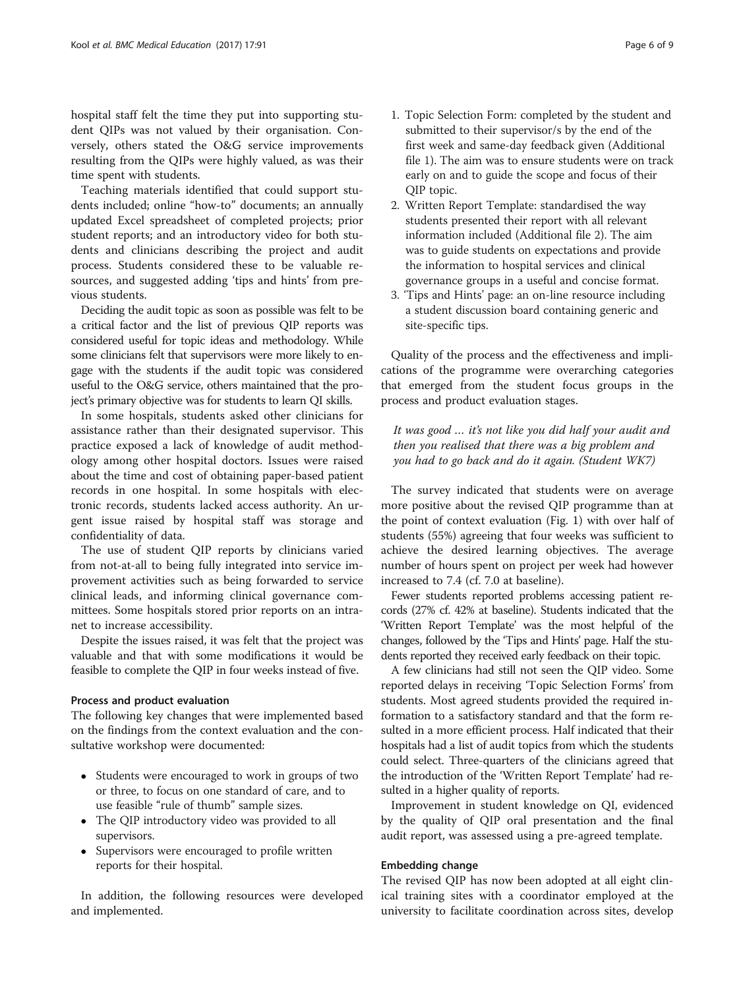hospital staff felt the time they put into supporting student QIPs was not valued by their organisation. Conversely, others stated the O&G service improvements resulting from the QIPs were highly valued, as was their time spent with students.

Teaching materials identified that could support students included; online "how-to" documents; an annually updated Excel spreadsheet of completed projects; prior student reports; and an introductory video for both students and clinicians describing the project and audit process. Students considered these to be valuable resources, and suggested adding 'tips and hints' from previous students.

Deciding the audit topic as soon as possible was felt to be a critical factor and the list of previous QIP reports was considered useful for topic ideas and methodology. While some clinicians felt that supervisors were more likely to engage with the students if the audit topic was considered useful to the O&G service, others maintained that the project's primary objective was for students to learn QI skills.

In some hospitals, students asked other clinicians for assistance rather than their designated supervisor. This practice exposed a lack of knowledge of audit methodology among other hospital doctors. Issues were raised about the time and cost of obtaining paper-based patient records in one hospital. In some hospitals with electronic records, students lacked access authority. An urgent issue raised by hospital staff was storage and confidentiality of data.

The use of student QIP reports by clinicians varied from not-at-all to being fully integrated into service improvement activities such as being forwarded to service clinical leads, and informing clinical governance committees. Some hospitals stored prior reports on an intranet to increase accessibility.

Despite the issues raised, it was felt that the project was valuable and that with some modifications it would be feasible to complete the QIP in four weeks instead of five.

### Process and product evaluation

The following key changes that were implemented based on the findings from the context evaluation and the consultative workshop were documented:

- Students were encouraged to work in groups of two or three, to focus on one standard of care, and to use feasible "rule of thumb" sample sizes.
- The QIP introductory video was provided to all supervisors.
- Supervisors were encouraged to profile written reports for their hospital.

In addition, the following resources were developed and implemented.

- 1. Topic Selection Form: completed by the student and submitted to their supervisor/s by the end of the first week and same-day feedback given (Additional file [1](#page-7-0)). The aim was to ensure students were on track early on and to guide the scope and focus of their QIP topic.
- 2. Written Report Template: standardised the way students presented their report with all relevant information included (Additional file [2](#page-7-0)). The aim was to guide students on expectations and provide the information to hospital services and clinical governance groups in a useful and concise format.
- 3. 'Tips and Hints' page: an on-line resource including a student discussion board containing generic and site-specific tips.

Quality of the process and the effectiveness and implications of the programme were overarching categories that emerged from the student focus groups in the process and product evaluation stages.

It was good … it's not like you did half your audit and then you realised that there was a big problem and you had to go back and do it again. (Student WK7)

The survey indicated that students were on average more positive about the revised QIP programme than at the point of context evaluation (Fig. [1\)](#page-6-0) with over half of students (55%) agreeing that four weeks was sufficient to achieve the desired learning objectives. The average number of hours spent on project per week had however increased to 7.4 (cf. 7.0 at baseline).

Fewer students reported problems accessing patient records (27% cf. 42% at baseline). Students indicated that the 'Written Report Template' was the most helpful of the changes, followed by the 'Tips and Hints' page. Half the students reported they received early feedback on their topic.

A few clinicians had still not seen the QIP video. Some reported delays in receiving 'Topic Selection Forms' from students. Most agreed students provided the required information to a satisfactory standard and that the form resulted in a more efficient process. Half indicated that their hospitals had a list of audit topics from which the students could select. Three-quarters of the clinicians agreed that the introduction of the 'Written Report Template' had resulted in a higher quality of reports.

Improvement in student knowledge on QI, evidenced by the quality of QIP oral presentation and the final audit report, was assessed using a pre-agreed template.

### Embedding change

The revised QIP has now been adopted at all eight clinical training sites with a coordinator employed at the university to facilitate coordination across sites, develop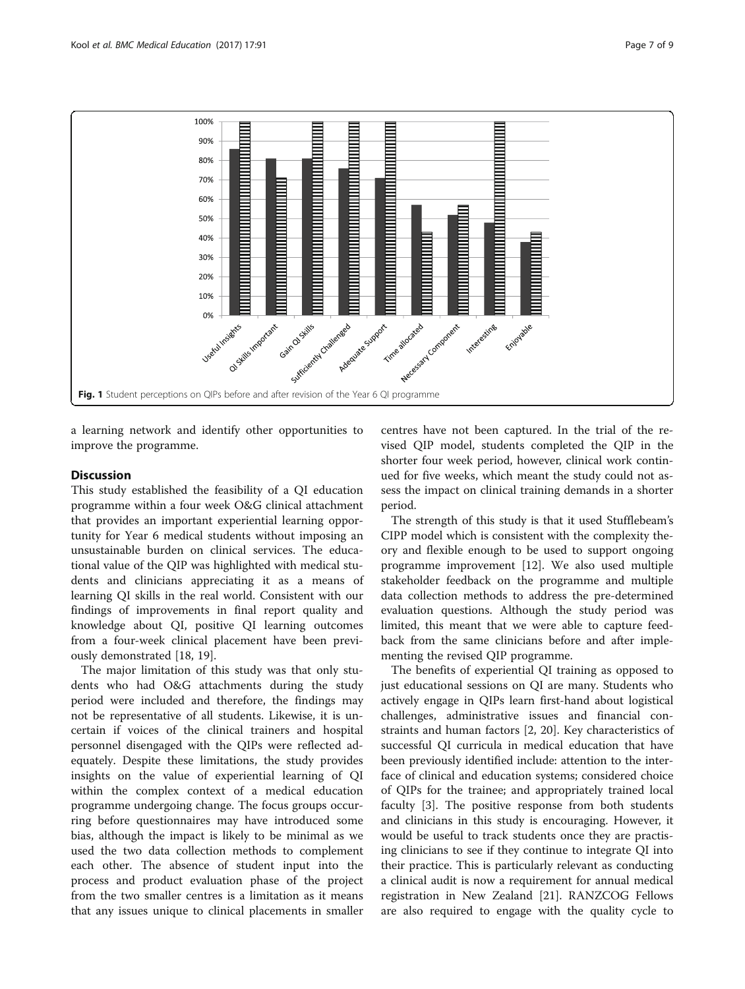<span id="page-6-0"></span>

a learning network and identify other opportunities to improve the programme.

### **Discussion**

This study established the feasibility of a QI education programme within a four week O&G clinical attachment that provides an important experiential learning opportunity for Year 6 medical students without imposing an unsustainable burden on clinical services. The educational value of the QIP was highlighted with medical students and clinicians appreciating it as a means of learning QI skills in the real world. Consistent with our findings of improvements in final report quality and knowledge about QI, positive QI learning outcomes from a four-week clinical placement have been previously demonstrated [\[18, 19\]](#page-8-0).

The major limitation of this study was that only students who had O&G attachments during the study period were included and therefore, the findings may not be representative of all students. Likewise, it is uncertain if voices of the clinical trainers and hospital personnel disengaged with the QIPs were reflected adequately. Despite these limitations, the study provides insights on the value of experiential learning of QI within the complex context of a medical education programme undergoing change. The focus groups occurring before questionnaires may have introduced some bias, although the impact is likely to be minimal as we used the two data collection methods to complement each other. The absence of student input into the process and product evaluation phase of the project from the two smaller centres is a limitation as it means that any issues unique to clinical placements in smaller

centres have not been captured. In the trial of the revised QIP model, students completed the QIP in the shorter four week period, however, clinical work continued for five weeks, which meant the study could not assess the impact on clinical training demands in a shorter period.

The strength of this study is that it used Stufflebeam's CIPP model which is consistent with the complexity theory and flexible enough to be used to support ongoing programme improvement [\[12](#page-7-0)]. We also used multiple stakeholder feedback on the programme and multiple data collection methods to address the pre-determined evaluation questions. Although the study period was limited, this meant that we were able to capture feedback from the same clinicians before and after implementing the revised QIP programme.

The benefits of experiential QI training as opposed to just educational sessions on QI are many. Students who actively engage in QIPs learn first-hand about logistical challenges, administrative issues and financial constraints and human factors [\[2,](#page-7-0) [20](#page-8-0)]. Key characteristics of successful QI curricula in medical education that have been previously identified include: attention to the interface of clinical and education systems; considered choice of QIPs for the trainee; and appropriately trained local faculty [\[3](#page-7-0)]. The positive response from both students and clinicians in this study is encouraging. However, it would be useful to track students once they are practising clinicians to see if they continue to integrate QI into their practice. This is particularly relevant as conducting a clinical audit is now a requirement for annual medical registration in New Zealand [\[21](#page-8-0)]. RANZCOG Fellows are also required to engage with the quality cycle to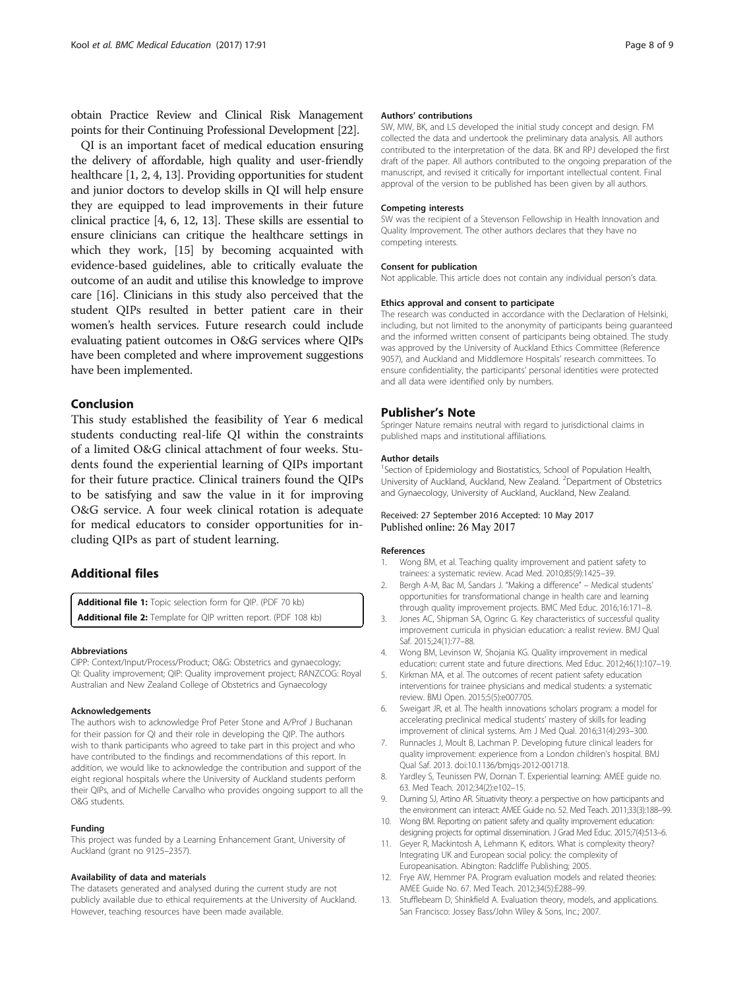<span id="page-7-0"></span>obtain Practice Review and Clinical Risk Management points for their Continuing Professional Development [\[22](#page-8-0)].

QI is an important facet of medical education ensuring the delivery of affordable, high quality and user-friendly healthcare [1, 2, 4, 13]. Providing opportunities for student and junior doctors to develop skills in QI will help ensure they are equipped to lead improvements in their future clinical practice [4, 6, 12, 13]. These skills are essential to ensure clinicians can critique the healthcare settings in which they work, [\[15](#page-8-0)] by becoming acquainted with evidence-based guidelines, able to critically evaluate the outcome of an audit and utilise this knowledge to improve care [\[16\]](#page-8-0). Clinicians in this study also perceived that the student QIPs resulted in better patient care in their women's health services. Future research could include evaluating patient outcomes in O&G services where QIPs have been completed and where improvement suggestions have been implemented.

### Conclusion

This study established the feasibility of Year 6 medical students conducting real-life QI within the constraints of a limited O&G clinical attachment of four weeks. Students found the experiential learning of QIPs important for their future practice. Clinical trainers found the QIPs to be satisfying and saw the value in it for improving O&G service. A four week clinical rotation is adequate for medical educators to consider opportunities for including QIPs as part of student learning.

### Additional files

[Additional file 1:](dx.doi.org/10.1186/s12909-017-0927-y) Topic selection form for QIP. (PDF 70 kb) [Additional file 2:](dx.doi.org/10.1186/s12909-017-0927-y) Template for QIP written report. (PDF 108 kb)

#### Abbreviations

CIPP: Context/Input/Process/Product; O&G: Obstetrics and gynaecology; QI: Quality improvement; QIP: Quality improvement project; RANZCOG: Royal Australian and New Zealand College of Obstetrics and Gynaecology

#### Acknowledgements

The authors wish to acknowledge Prof Peter Stone and A/Prof J Buchanan for their passion for QI and their role in developing the QIP. The authors wish to thank participants who agreed to take part in this project and who have contributed to the findings and recommendations of this report. In addition, we would like to acknowledge the contribution and support of the eight regional hospitals where the University of Auckland students perform their QIPs, and of Michelle Carvalho who provides ongoing support to all the O&G students.

#### Funding

This project was funded by a Learning Enhancement Grant, University of Auckland (grant no 9125–2357).

#### Availability of data and materials

The datasets generated and analysed during the current study are not publicly available due to ethical requirements at the University of Auckland. However, teaching resources have been made available.

#### Authors' contributions

SW, MW, BK, and LS developed the initial study concept and design. FM collected the data and undertook the preliminary data analysis. All authors contributed to the interpretation of the data. BK and RPJ developed the first draft of the paper. All authors contributed to the ongoing preparation of the manuscript, and revised it critically for important intellectual content. Final approval of the version to be published has been given by all authors.

#### Competing interests

SW was the recipient of a Stevenson Fellowship in Health Innovation and Quality Improvement. The other authors declares that they have no competing interests.

#### Consent for publication

Not applicable. This article does not contain any individual person's data.

#### Ethics approval and consent to participate

The research was conducted in accordance with the Declaration of Helsinki, including, but not limited to the anonymity of participants being guaranteed and the informed written consent of participants being obtained. The study was approved by the University of Auckland Ethics Committee (Reference 9057), and Auckland and Middlemore Hospitals' research committees. To ensure confidentiality, the participants' personal identities were protected and all data were identified only by numbers.

#### Publisher's Note

Springer Nature remains neutral with regard to jurisdictional claims in published maps and institutional affiliations.

#### Author details

<sup>1</sup>Section of Epidemiology and Biostatistics, School of Population Health University of Auckland, Auckland, New Zealand. <sup>2</sup> Department of Obstetrics and Gynaecology, University of Auckland, Auckland, New Zealand.

### Received: 27 September 2016 Accepted: 10 May 2017 Published online: 26 May 2017

#### References

- 1. Wong BM, et al. Teaching quality improvement and patient safety to trainees: a systematic review. Acad Med. 2010;85(9):1425–39.
- 2. Bergh A-M, Bac M, Sandars J. "Making a difference" Medical students' opportunities for transformational change in health care and learning through quality improvement projects. BMC Med Educ. 2016;16:171–8.
- 3. Jones AC, Shipman SA, Ogrinc G. Key characteristics of successful quality improvement curricula in physician education: a realist review. BMJ Qual Saf. 2015;24(1):77–88.
- 4. Wong BM, Levinson W, Shojania KG. Quality improvement in medical education: current state and future directions. Med Educ. 2012;46(1):107–19.
- 5. Kirkman MA, et al. The outcomes of recent patient safety education interventions for trainee physicians and medical students: a systematic review. BMJ Open. 2015;5(5):e007705.
- 6. Sweigart JR, et al. The health innovations scholars program: a model for accelerating preclinical medical students' mastery of skills for leading improvement of clinical systems. Am J Med Qual. 2016;31(4):293–300.
- 7. Runnacles J, Moult B, Lachman P. Developing future clinical leaders for quality improvement: experience from a London children's hospital. BMJ Qual Saf. 2013. doi:[10.1136/bmjqs-2012-001718.](http://dx.doi.org/10.1136/bmjqs-2012-001718)
- 8. Yardley S, Teunissen PW, Dornan T. Experiential learning: AMEE guide no. 63. Med Teach. 2012;34(2):e102–15.
- 9. Durning SJ, Artino AR. Situativity theory: a perspective on how participants and the environment can interact: AMEE Guide no. 52. Med Teach. 2011;33(3):188–99.
- 10. Wong BM. Reporting on patient safety and quality improvement education: designing projects for optimal dissemination. J Grad Med Educ. 2015;7(4):513–6.
- 11. Geyer R, Mackintosh A, Lehmann K, editors. What is complexity theory? Integrating UK and European social policy: the complexity of Europeanisation. Abington: Radcliffe Publishing; 2005.
- 12. Frye AW, Hemmer PA. Program evaluation models and related theories: AMEE Guide No. 67. Med Teach. 2012;34(5):E288–99.
- 13. Stufflebeam D, Shinkfield A. Evaluation theory, models, and applications. San Francisco: Jossey Bass/John Wiley & Sons, Inc.; 2007.